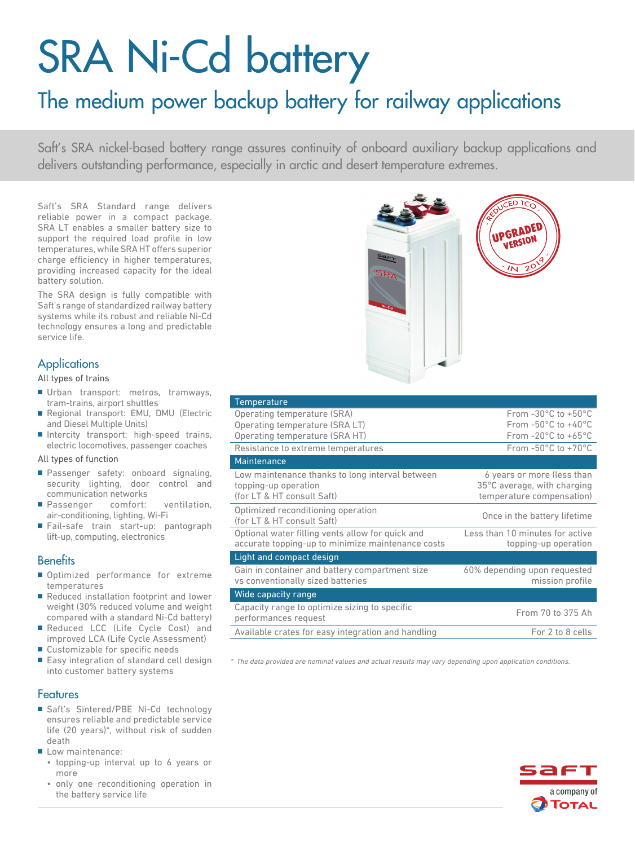# SRA Ni-Cd battery

# The medium power backup battery for railway applications

Saft's SRA nickel-based battery range assures continuity of onboard auxiliary backup applications and delivers outstanding performance, especially in arctic and desert temperature extremes.

Saft's SRA Standard range delivers reliable power in a compact package. SRA LT enables a smaller battery size to support the required load profile in low temperatures, while SRA HT offers superior charge efficiency in higher temperatures, providing increased capacity for the ideal battery solution.

The SRA design is fully compatible with Saft's range of standardized railway battery systems while its robust and reliable Ni-Cd technology ensures a long and predictable service life.

# **Applications**

All types of trains

- Urban transport: metros, tramways, tram-trains, airport shuttles
- Regional transport: EMU, DMU (Electric and Diesel Multiple Units)
- Intercity transport: high-speed trains, electric locomotives, passenger coaches

#### All types of function

- Passenger safety: onboard signaling, security lighting, door control and communication networks
- Passenger comfort: ventilation, air-conditioning, lighting, Wi-Fi
- Fail-safe train start-up: pantograph lift-up, computing, electronics

## **Benefits**

- Optimized performance for extreme temperatures
- Reduced installation footprint and lower weight (30% reduced volume and weight compared with a standard Ni-Cd battery)
- Reduced LCC (Life Cycle Cost) and improved LCA (Life Cycle Assessment)
- Customizable for specific needs
- Easy integration of standard cell design into customer battery systems

## Features

- Saft's Sintered/PBE Ni-Cd technology ensures reliable and predictable service life (20 years)\*, without risk of sudden death
- Low maintenance:
	- topping-up interval up to 6 years or more
	- only one reconditioning operation in the battery service life



| Temperature                                        |                                         |
|----------------------------------------------------|-----------------------------------------|
| Operating temperature (SRA)                        | From $-30^{\circ}$ C to $+50^{\circ}$ C |
| Operating temperature (SRA LT)                     | From $-50^{\circ}$ C to $+40^{\circ}$ C |
| Operating temperature (SRA HT)                     | From $-20^{\circ}$ C to $+65^{\circ}$ C |
| Resistance to extreme temperatures                 | From $-50^{\circ}$ C to $+70^{\circ}$ C |
| Maintenance                                        |                                         |
| Low maintenance thanks to long interval between    | 6 years or more (less than              |
| topping-up operation                               | 35°C average, with charging             |
| (for LT & HT consult Saft)                         | temperature compensation)               |
| Optimized reconditioning operation                 | Once in the battery lifetime            |
| (for LT & HT consult Saft)                         |                                         |
| Optional water filling vents allow for quick and   | Less than 10 minutes for active         |
| accurate topping-up to minimize maintenance costs  | topping-up operation                    |
| Light and compact design                           |                                         |
| Gain in container and battery compartment size     | 60% depending upon requested            |
| vs conventionally sized batteries                  | mission profile                         |
| Wide capacity range                                |                                         |
| Capacity range to optimize sizing to specific      | From 70 to 375 Ah                       |
| performances request                               |                                         |
| Available crates for easy integration and handling | For 2 to 8 cells                        |

\* The data provided are nominal values and actual results may vary depending upon application conditions.